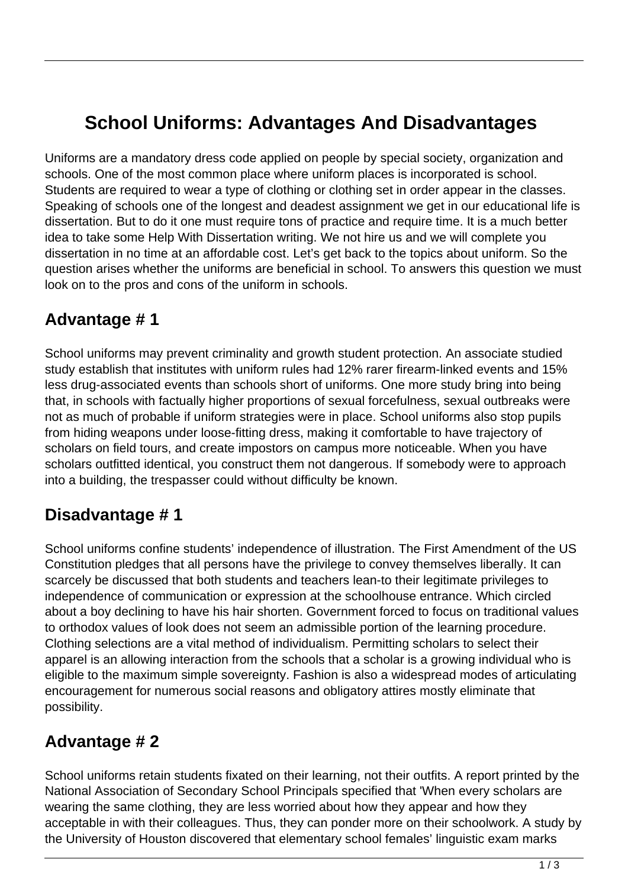# **School Uniforms: Advantages And Disadvantages**

Uniforms are a mandatory dress code applied on people by special society, organization and schools. One of the most common place where uniform places is incorporated is school. Students are required to wear a type of clothing or clothing set in order appear in the classes. Speaking of schools one of the longest and deadest assignment we get in our educational life is dissertation. But to do it one must require tons of practice and require time. It is a much better idea to take some Help With Dissertation writing. We not hire us and we will complete you dissertation in no time at an affordable cost. Let's get back to the topics about uniform. So the question arises whether the uniforms are beneficial in school. To answers this question we must look on to the pros and cons of the uniform in schools.

#### **Advantage # 1**

School uniforms may prevent criminality and growth student protection. An associate studied study establish that institutes with uniform rules had 12% rarer firearm-linked events and 15% less drug-associated events than schools short of uniforms. One more study bring into being that, in schools with factually higher proportions of sexual forcefulness, sexual outbreaks were not as much of probable if uniform strategies were in place. School uniforms also stop pupils from hiding weapons under loose-fitting dress, making it comfortable to have trajectory of scholars on field tours, and create impostors on campus more noticeable. When you have scholars outfitted identical, you construct them not dangerous. If somebody were to approach into a building, the trespasser could without difficulty be known.

## **Disadvantage # 1**

School uniforms confine students' independence of illustration. The First Amendment of the US Constitution pledges that all persons have the privilege to convey themselves liberally. It can scarcely be discussed that both students and teachers lean-to their legitimate privileges to independence of communication or expression at the schoolhouse entrance. Which circled about a boy declining to have his hair shorten. Government forced to focus on traditional values to orthodox values of look does not seem an admissible portion of the learning procedure. Clothing selections are a vital method of individualism. Permitting scholars to select their apparel is an allowing interaction from the schools that a scholar is a growing individual who is eligible to the maximum simple sovereignty. Fashion is also a widespread modes of articulating encouragement for numerous social reasons and obligatory attires mostly eliminate that possibility.

## **Advantage # 2**

School uniforms retain students fixated on their learning, not their outfits. A report printed by the National Association of Secondary School Principals specified that 'When every scholars are wearing the same clothing, they are less worried about how they appear and how they acceptable in with their colleagues. Thus, they can ponder more on their schoolwork. A study by the University of Houston discovered that elementary school females' linguistic exam marks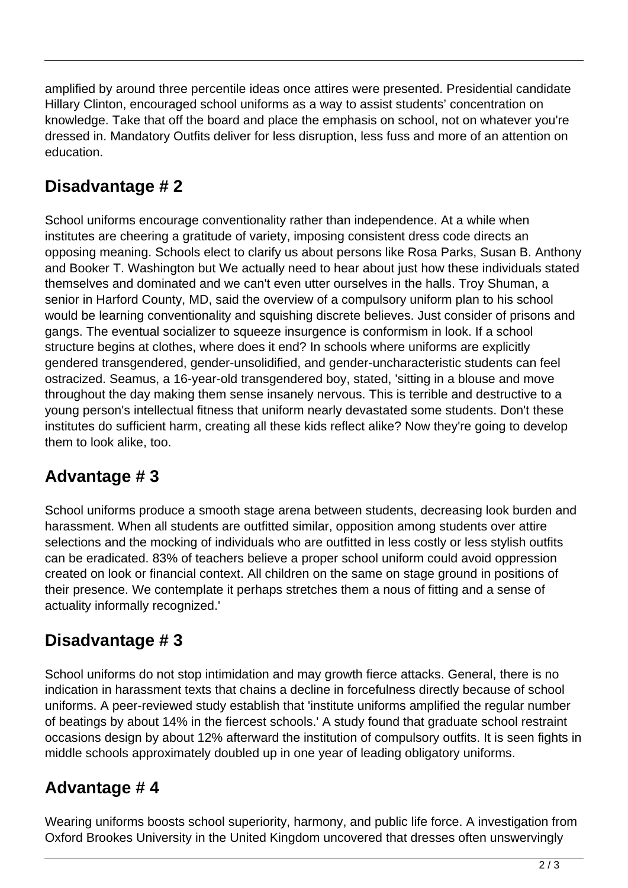amplified by around three percentile ideas once attires were presented. Presidential candidate Hillary Clinton, encouraged school uniforms as a way to assist students' concentration on knowledge. Take that off the board and place the emphasis on school, not on whatever you're dressed in. Mandatory Outfits deliver for less disruption, less fuss and more of an attention on education.

## **Disadvantage # 2**

School uniforms encourage conventionality rather than independence. At a while when institutes are cheering a gratitude of variety, imposing consistent dress code directs an opposing meaning. Schools elect to clarify us about persons like Rosa Parks, Susan B. Anthony and Booker T. Washington but We actually need to hear about just how these individuals stated themselves and dominated and we can't even utter ourselves in the halls. Troy Shuman, a senior in Harford County, MD, said the overview of a compulsory uniform plan to his school would be learning conventionality and squishing discrete believes. Just consider of prisons and gangs. The eventual socializer to squeeze insurgence is conformism in look. If a school structure begins at clothes, where does it end? In schools where uniforms are explicitly gendered transgendered, gender-unsolidified, and gender-uncharacteristic students can feel ostracized. Seamus, a 16-year-old transgendered boy, stated, 'sitting in a blouse and move throughout the day making them sense insanely nervous. This is terrible and destructive to a young person's intellectual fitness that uniform nearly devastated some students. Don't these institutes do sufficient harm, creating all these kids reflect alike? Now they're going to develop them to look alike, too.

## **Advantage # 3**

School uniforms produce a smooth stage arena between students, decreasing look burden and harassment. When all students are outfitted similar, opposition among students over attire selections and the mocking of individuals who are outfitted in less costly or less stylish outfits can be eradicated. 83% of teachers believe a proper school uniform could avoid oppression created on look or financial context. All children on the same on stage ground in positions of their presence. We contemplate it perhaps stretches them a nous of fitting and a sense of actuality informally recognized.'

## **Disadvantage # 3**

School uniforms do not stop intimidation and may growth fierce attacks. General, there is no indication in harassment texts that chains a decline in forcefulness directly because of school uniforms. A peer-reviewed study establish that 'institute uniforms amplified the regular number of beatings by about 14% in the fiercest schools.' A study found that graduate school restraint occasions design by about 12% afterward the institution of compulsory outfits. It is seen fights in middle schools approximately doubled up in one year of leading obligatory uniforms.

#### **Advantage # 4**

Wearing uniforms boosts school superiority, harmony, and public life force. A investigation from Oxford Brookes University in the United Kingdom uncovered that dresses often unswervingly